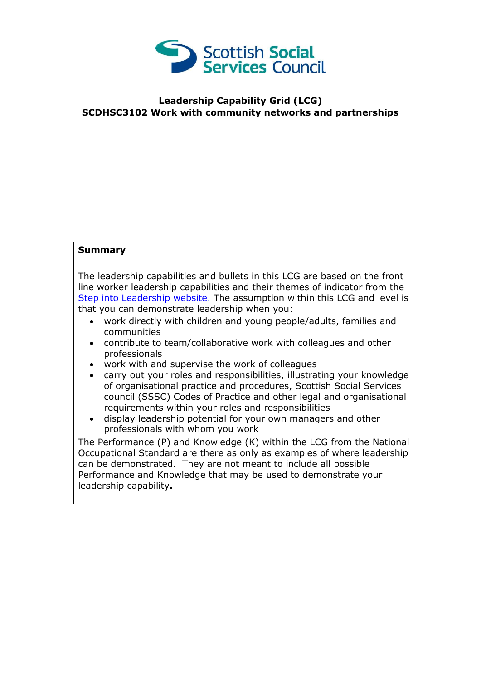

## **Leadership Capability Grid (LCG) SCDHSC3102 Work with community networks and partnerships**

## **Summary**

The leadership capabilities and bullets in this LCG are based on the front line worker leadership capabilities and their themes of indicator from the [Step into Leadership website.](http://www.stepintoleadership.info/) The assumption within this LCG and level is that you can demonstrate leadership when you:

- work directly with children and young people/adults, families and communities
- contribute to team/collaborative work with colleagues and other professionals
- work with and supervise the work of colleagues
- carry out your roles and responsibilities, illustrating your knowledge of organisational practice and procedures, Scottish Social Services council (SSSC) Codes of Practice and other legal and organisational requirements within your roles and responsibilities
- display leadership potential for your own managers and other professionals with whom you work

The Performance (P) and Knowledge (K) within the LCG from the National Occupational Standard are there as only as examples of where leadership can be demonstrated. They are not meant to include all possible Performance and Knowledge that may be used to demonstrate your leadership capability**.**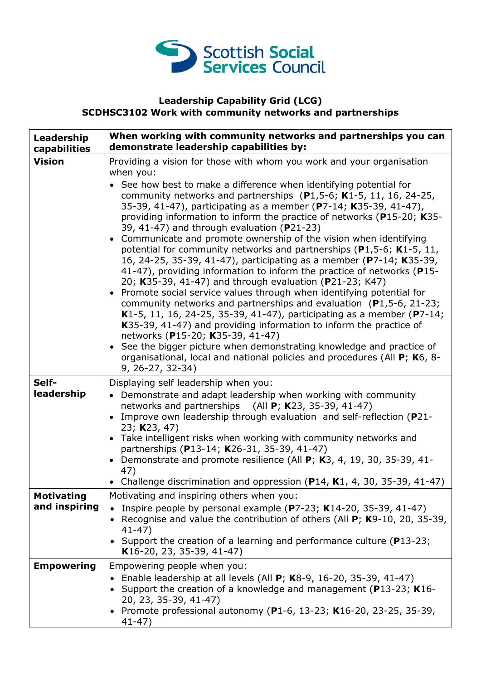

## **Leadership Capability Grid (LCG) SCDHSC3102 Work with community networks and partnerships**

| Leadership<br>capabilities         | When working with community networks and partnerships you can<br>demonstrate leadership capabilities by:                                                                                                                                                                                                                                                                                                                                                                                                                                                                                                                                                                                                                                                                                                                                                                                                                                                                                                                                                                                                                                                                                                                                                                                            |
|------------------------------------|-----------------------------------------------------------------------------------------------------------------------------------------------------------------------------------------------------------------------------------------------------------------------------------------------------------------------------------------------------------------------------------------------------------------------------------------------------------------------------------------------------------------------------------------------------------------------------------------------------------------------------------------------------------------------------------------------------------------------------------------------------------------------------------------------------------------------------------------------------------------------------------------------------------------------------------------------------------------------------------------------------------------------------------------------------------------------------------------------------------------------------------------------------------------------------------------------------------------------------------------------------------------------------------------------------|
| <b>Vision</b>                      | Providing a vision for those with whom you work and your organisation<br>when you:<br>See how best to make a difference when identifying potential for<br>community networks and partnerships $(P1,5-6; K1-5, 11, 16, 24-25,$<br>35-39, 41-47), participating as a member (P7-14; K35-39, 41-47),<br>providing information to inform the practice of networks (P15-20; K35-<br>39, 41-47) and through evaluation ( $P$ 21-23)<br>Communicate and promote ownership of the vision when identifying<br>potential for community networks and partnerships (P1,5-6; K1-5, 11,<br>16, 24-25, 35-39, 41-47), participating as a member (P7-14; K35-39,<br>41-47), providing information to inform the practice of networks (P15-<br>20; K35-39, 41-47) and through evaluation (P21-23; K47)<br>• Promote social service values through when identifying potential for<br>community networks and partnerships and evaluation $(P1, 5-6, 21-23;$<br>K1-5, 11, 16, 24-25, 35-39, 41-47), participating as a member (P7-14;<br>K35-39, 41-47) and providing information to inform the practice of<br>networks (P15-20; K35-39, 41-47)<br>See the bigger picture when demonstrating knowledge and practice of<br>organisational, local and national policies and procedures (All P; K6, 8-<br>9, 26-27, 32-34) |
| Self-<br>leadership                | Displaying self leadership when you:<br>• Demonstrate and adapt leadership when working with community<br>networks and partnerships (All P; K23, 35-39, 41-47)<br>Improve own leadership through evaluation and self-reflection (P21-<br>23; K23, 47)<br>• Take intelligent risks when working with community networks and<br>partnerships (P13-14; K26-31, 35-39, 41-47)<br>Demonstrate and promote resilience (All P; K3, 4, 19, 30, 35-39, 41-<br>47)<br>Challenge discrimination and oppression $(P14, K1, 4, 30, 35-39, 41-47)$                                                                                                                                                                                                                                                                                                                                                                                                                                                                                                                                                                                                                                                                                                                                                                |
| <b>Motivating</b><br>and inspiring | Motivating and inspiring others when you:<br>Inspire people by personal example ( $P7-23$ ; K14-20, 35-39, 41-47)<br>Recognise and value the contribution of others (All $P$ ; K9-10, 20, 35-39,<br>$41 - 47$ )<br>Support the creation of a learning and performance culture (P13-23;<br>$\bullet$<br>K16-20, 23, 35-39, 41-47)                                                                                                                                                                                                                                                                                                                                                                                                                                                                                                                                                                                                                                                                                                                                                                                                                                                                                                                                                                    |
| <b>Empowering</b>                  | Empowering people when you:<br>Enable leadership at all levels (All P; K8-9, 16-20, 35-39, 41-47)<br>Support the creation of a knowledge and management ( $P13-23$ ; K16-<br>20, 23, 35-39, 41-47)<br>Promote professional autonomy (P1-6, 13-23; K16-20, 23-25, 35-39,<br>$41 - 47$                                                                                                                                                                                                                                                                                                                                                                                                                                                                                                                                                                                                                                                                                                                                                                                                                                                                                                                                                                                                                |